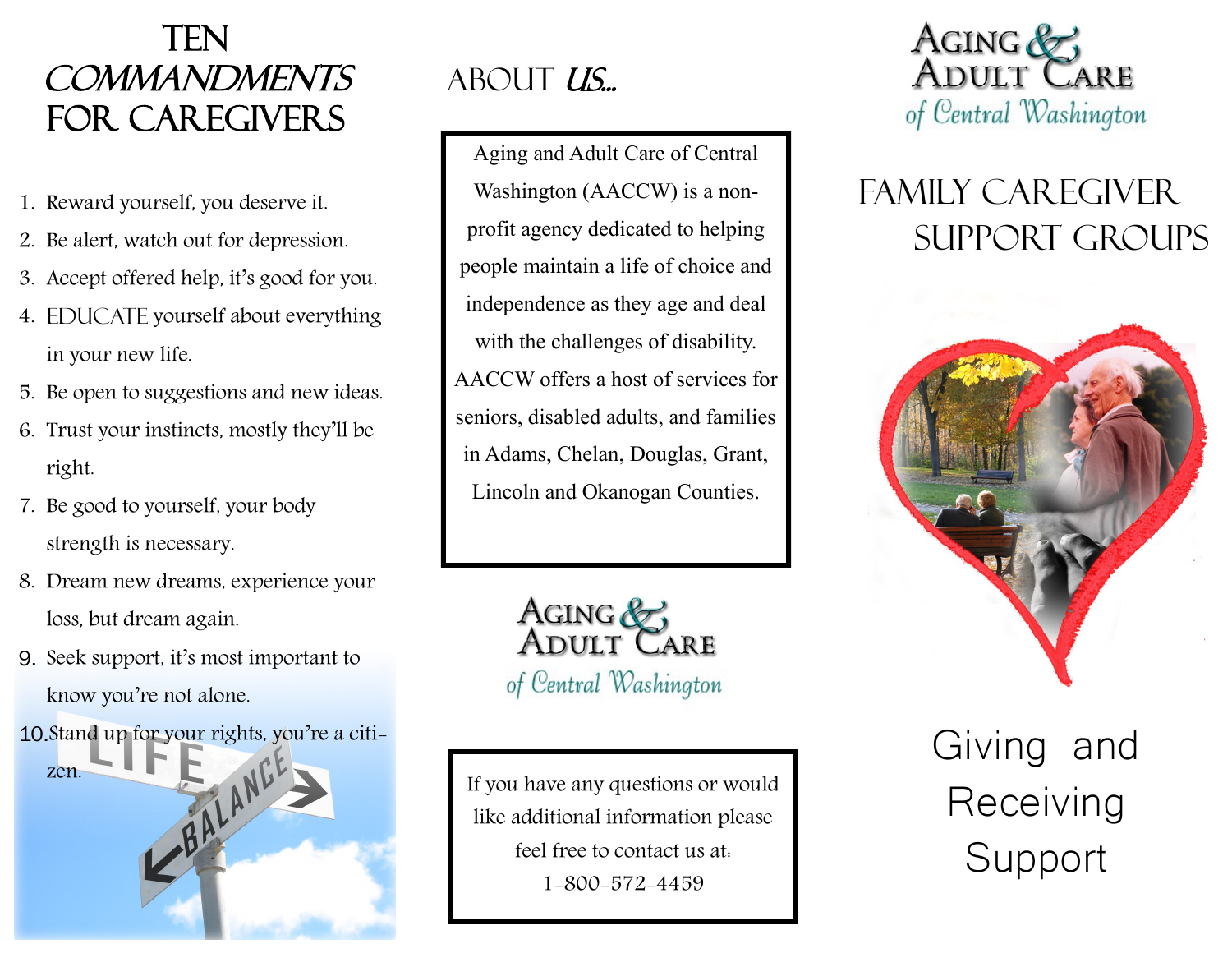### **TEN COMMANDMENTS** For caregivers

- 1. Reward yourself, you deserve it.
- 2. Be alert, watch out for depression.
- 3. Accept offered help, it's good for you.
- 4. EDUCATE yourself about everything in your new life.
- 5. Be open to suggestions and new ideas.
- 6. Trust your instincts, mostly they'll be right.
- 7. Be good to yourself, your body strength is necessary.
- 8. Dream new dreams, experience your loss, but dream again.
- 9. Seek support, it's most important to know you're not alone.



# ABOUT US...

Aging and Adult Care of Central Washington (AACCW) is a nonprofit agency dedicated to helping people maintain a life of choice and independence as they age and deal with the challenges of disability. AACCW offers a host of services for seniors, disabled adults, and families in Adams, Chelan, Douglas, Grant, Lincoln and Okanogan Counties.



If you have any questions or would like additional information please feel free to contact us at: 1-800-572-4459



# Family Caregiver support groups



Giving and **Receiving** Support